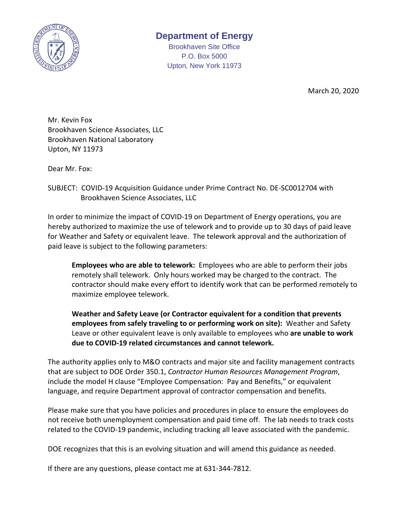

## **Department of Energy**

Brookhaven Site Office P.O. Box 5000 Upton, New York 11973

March 20, 2020

Mr. Kevin Fox Brookhaven Science Associates, LLC Brookhaven National Laboratory Upton, NY 11973

Dear Mr. Fox:

SUBJECT: COVID-19 Acquisition Guidance under Prime Contract No. DE-SC0012704 with Brookhaven Science Associates, LLC

In order to minimize the impact of COVID-19 on Department of Energy operations, you are hereby authorized to maximize the use of telework and to provide up to 30 days of paid leave for Weather and Safety or equivalent leave. The telework approval and the authorization of paid leave is subject to the following parameters:

**Employees who are able to telework:** Employees who are able to perform their jobs remotely shall telework. Only hours worked may be charged to the contract. The contractor should make every effort to identify work that can be performed remotely to maximize employee telework.

**Weather and Safety Leave (or Contractor equivalent for a condition that prevents employees from safely traveling to or performing work on site):** Weather and Safety Leave or other equivalent leave is only available to employees who **are unable to work due to COVID-19 related circumstances and cannot telework.** 

The authority applies only to M&O contracts and major site and facility management contracts that are subject to DOE Order 350.1, *Contractor Human Resources Management Program*, include the model H clause "Employee Compensation: Pay and Benefits," or equivalent language, and require Department approval of contractor compensation and benefits.

Please make sure that you have policies and procedures in place to ensure the employees do not receive both unemployment compensation and paid time off. The lab needs to track costs related to the COVID-19 pandemic, including tracking all leave associated with the pandemic.

DOE recognizes that this is an evolving situation and will amend this guidance as needed.

If there are any questions, please contact me at 631-344-7812.